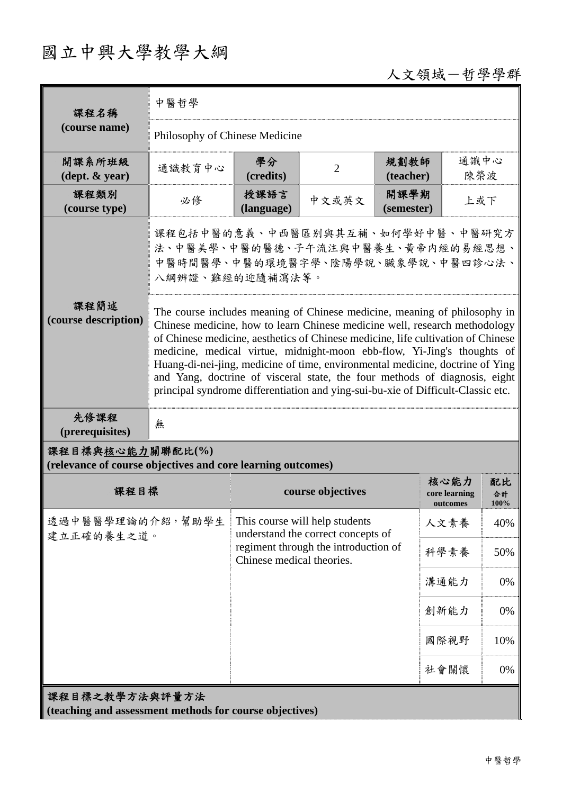## 國立中興大學教學大綱

## 人文領域-哲學學群

| 課程名稱<br>(course name)                                                           | 中醫哲學                                                                                                                          |                                                                                                                                                                                                                                                                                                                                                                                                                                                                                                                                                                           |       |                    |                                   |                  |  |
|---------------------------------------------------------------------------------|-------------------------------------------------------------------------------------------------------------------------------|---------------------------------------------------------------------------------------------------------------------------------------------------------------------------------------------------------------------------------------------------------------------------------------------------------------------------------------------------------------------------------------------------------------------------------------------------------------------------------------------------------------------------------------------------------------------------|-------|--------------------|-----------------------------------|------------------|--|
|                                                                                 | Philosophy of Chinese Medicine                                                                                                |                                                                                                                                                                                                                                                                                                                                                                                                                                                                                                                                                                           |       |                    |                                   |                  |  |
| 開課系所班級<br>$(\text{dept.} \& \text{ year})$                                      | 通識教育中心                                                                                                                        | 學分<br>(credits)                                                                                                                                                                                                                                                                                                                                                                                                                                                                                                                                                           | 2     | 規劃教師<br>(teacher)  |                                   | 通識中心<br>陳榮波      |  |
| 課程類別<br>(course type)                                                           | 必修                                                                                                                            | 授課語言<br>(language)                                                                                                                                                                                                                                                                                                                                                                                                                                                                                                                                                        | 中文或英文 | 開課學期<br>(semester) | 上或下                               |                  |  |
|                                                                                 | 課程包括中醫的意義、中西醫區别與其互補、如何學好中醫、中醫研究方<br>法、中醫美學、中醫的醫德、子午流注與中醫養生、黃帝内經的易經思想、<br>中醫時間醫學、中醫的環境醫字學、陰陽學說、臟象學說、中醫四診心法、<br>八綱辨證、難經的迎隨補瀉法等。 |                                                                                                                                                                                                                                                                                                                                                                                                                                                                                                                                                                           |       |                    |                                   |                  |  |
| 課程簡述<br>(course description)                                                    |                                                                                                                               | The course includes meaning of Chinese medicine, meaning of philosophy in<br>Chinese medicine, how to learn Chinese medicine well, research methodology<br>of Chinese medicine, aesthetics of Chinese medicine, life cultivation of Chinese<br>medicine, medical virtue, midnight-moon ebb-flow, Yi-Jing's thoughts of<br>Huang-di-nei-jing, medicine of time, environmental medicine, doctrine of Ying<br>and Yang, doctrine of visceral state, the four methods of diagnosis, eight<br>principal syndrome differentiation and ying-sui-bu-xie of Difficult-Classic etc. |       |                    |                                   |                  |  |
| 先修課程<br>(prerequisites)                                                         | 無                                                                                                                             |                                                                                                                                                                                                                                                                                                                                                                                                                                                                                                                                                                           |       |                    |                                   |                  |  |
| 課程目標與核心能力關聯配比(%)<br>(relevance of course objectives and core learning outcomes) |                                                                                                                               |                                                                                                                                                                                                                                                                                                                                                                                                                                                                                                                                                                           |       |                    |                                   |                  |  |
| 課程目標                                                                            |                                                                                                                               | course objectives                                                                                                                                                                                                                                                                                                                                                                                                                                                                                                                                                         |       |                    | 核心能力<br>core learning<br>outcomes | 配比<br>合計<br>100% |  |
| 透過中醫醫學理論的介紹,幫助學生<br>建立正確的養生之道。                                                  |                                                                                                                               | This course will help students<br>understand the correct concepts of<br>regiment through the introduction of<br>Chinese medical theories.                                                                                                                                                                                                                                                                                                                                                                                                                                 |       |                    | 人文素養                              | 40%              |  |
|                                                                                 |                                                                                                                               |                                                                                                                                                                                                                                                                                                                                                                                                                                                                                                                                                                           |       |                    | 科學素養                              | 50%              |  |
|                                                                                 |                                                                                                                               |                                                                                                                                                                                                                                                                                                                                                                                                                                                                                                                                                                           |       |                    | 溝通能力                              | 0%               |  |
|                                                                                 |                                                                                                                               |                                                                                                                                                                                                                                                                                                                                                                                                                                                                                                                                                                           |       |                    | 創新能力                              | 0%               |  |
|                                                                                 |                                                                                                                               |                                                                                                                                                                                                                                                                                                                                                                                                                                                                                                                                                                           |       |                    | 國際視野                              | 10%              |  |
|                                                                                 |                                                                                                                               |                                                                                                                                                                                                                                                                                                                                                                                                                                                                                                                                                                           |       |                    | 社會關懷                              | 0%               |  |
| 課程目標之教學方法與評量方法<br>(teaching and assessment methods for course objectives)       |                                                                                                                               |                                                                                                                                                                                                                                                                                                                                                                                                                                                                                                                                                                           |       |                    |                                   |                  |  |